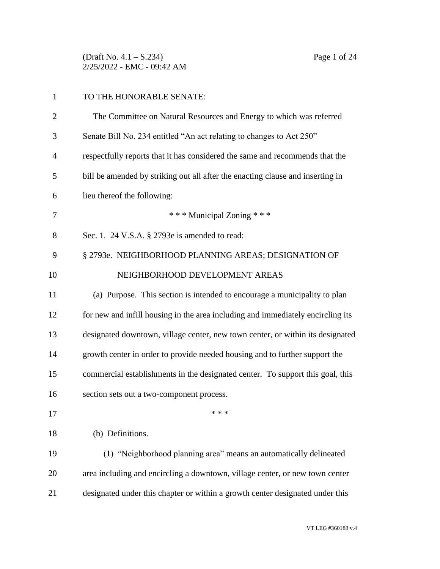(Draft No. 4.1 – S.234) Page 1 of 24 2/25/2022 - EMC - 09:42 AM

| $\mathbf{1}$   | TO THE HONORABLE SENATE:                                                        |
|----------------|---------------------------------------------------------------------------------|
| $\overline{2}$ | The Committee on Natural Resources and Energy to which was referred             |
| 3              | Senate Bill No. 234 entitled "An act relating to changes to Act 250"            |
| $\overline{4}$ | respectfully reports that it has considered the same and recommends that the    |
| 5              | bill be amended by striking out all after the enacting clause and inserting in  |
| 6              | lieu thereof the following:                                                     |
| 7              | *** Municipal Zoning ***                                                        |
| 8              | Sec. 1. 24 V.S.A. § 2793e is amended to read:                                   |
| 9              | § 2793e. NEIGHBORHOOD PLANNING AREAS; DESIGNATION OF                            |
| 10             | NEIGHBORHOOD DEVELOPMENT AREAS                                                  |
| 11             | (a) Purpose. This section is intended to encourage a municipality to plan       |
| 12             | for new and infill housing in the area including and immediately encircling its |
| 13             | designated downtown, village center, new town center, or within its designated  |
| 14             | growth center in order to provide needed housing and to further support the     |
| 15             | commercial establishments in the designated center. To support this goal, this  |
| 16             | section sets out a two-component process.                                       |
| 17             | * * *                                                                           |
| 18             | (b) Definitions.                                                                |
| 19             | (1) "Neighborhood planning area" means an automatically delineated              |
| 20             | area including and encircling a downtown, village center, or new town center    |
| 21             | designated under this chapter or within a growth center designated under this   |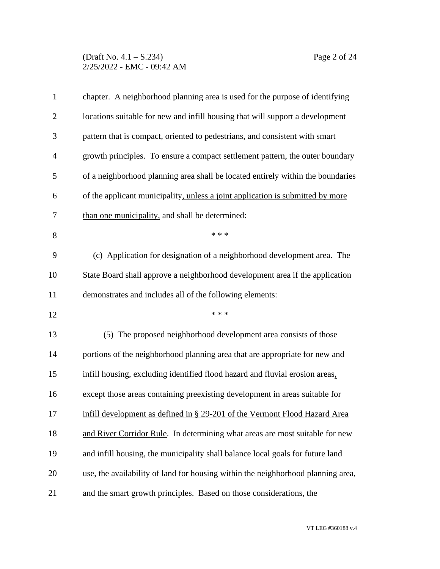## (Draft No. 4.1 – S.234) Page 2 of 24 2/25/2022 - EMC - 09:42 AM

| $\mathbf{1}$   | chapter. A neighborhood planning area is used for the purpose of identifying     |
|----------------|----------------------------------------------------------------------------------|
| $\overline{2}$ | locations suitable for new and infill housing that will support a development    |
| 3              | pattern that is compact, oriented to pedestrians, and consistent with smart      |
| $\overline{4}$ | growth principles. To ensure a compact settlement pattern, the outer boundary    |
| 5              | of a neighborhood planning area shall be located entirely within the boundaries  |
| 6              | of the applicant municipality, unless a joint application is submitted by more   |
| 7              | than one municipality, and shall be determined:                                  |
| 8              | * * *                                                                            |
| 9              | (c) Application for designation of a neighborhood development area. The          |
| 10             | State Board shall approve a neighborhood development area if the application     |
| 11             | demonstrates and includes all of the following elements:                         |
| 12             | * * *                                                                            |
| 13             | (5) The proposed neighborhood development area consists of those                 |
| 14             | portions of the neighborhood planning area that are appropriate for new and      |
| 15             | infill housing, excluding identified flood hazard and fluvial erosion areas,     |
| 16             | except those areas containing preexisting development in areas suitable for      |
| 17             | infill development as defined in § 29-201 of the Vermont Flood Hazard Area       |
| 18             | and River Corridor Rule. In determining what areas are most suitable for new     |
| 19             | and infill housing, the municipality shall balance local goals for future land   |
| 20             | use, the availability of land for housing within the neighborhood planning area, |
| 21             | and the smart growth principles. Based on those considerations, the              |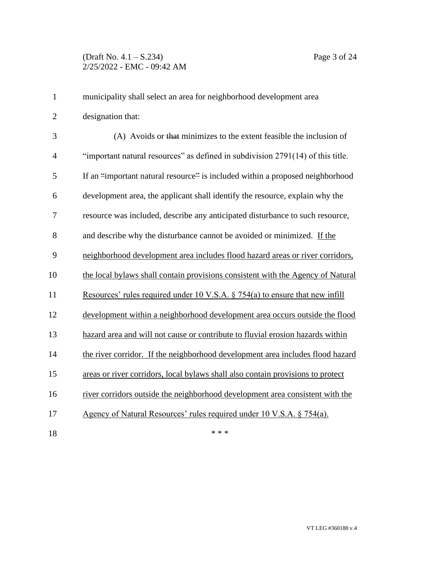| $\mathbf{1}$   | municipality shall select an area for neighborhood development area             |
|----------------|---------------------------------------------------------------------------------|
| $\overline{2}$ | designation that:                                                               |
| 3              | (A) Avoids or that minimizes to the extent feasible the inclusion of            |
| $\overline{4}$ | "important natural resources" as defined in subdivision 2791(14) of this title. |
| 5              | If an "important natural resource" is included within a proposed neighborhood   |
| 6              | development area, the applicant shall identify the resource, explain why the    |
| 7              | resource was included, describe any anticipated disturbance to such resource,   |
| 8              | and describe why the disturbance cannot be avoided or minimized. If the         |
| 9              | neighborhood development area includes flood hazard areas or river corridors,   |
| 10             | the local bylaws shall contain provisions consistent with the Agency of Natural |
| 11             | Resources' rules required under 10 V.S.A. $\S$ 754(a) to ensure that new infill |
| 12             | development within a neighborhood development area occurs outside the flood     |
| 13             | hazard area and will not cause or contribute to fluvial erosion hazards within  |
| 14             | the river corridor. If the neighborhood development area includes flood hazard  |
| 15             | areas or river corridors, local bylaws shall also contain provisions to protect |
| 16             | river corridors outside the neighborhood development area consistent with the   |
| 17             | Agency of Natural Resources' rules required under 10 V.S.A. § 754(a).           |
| 18             | * * *                                                                           |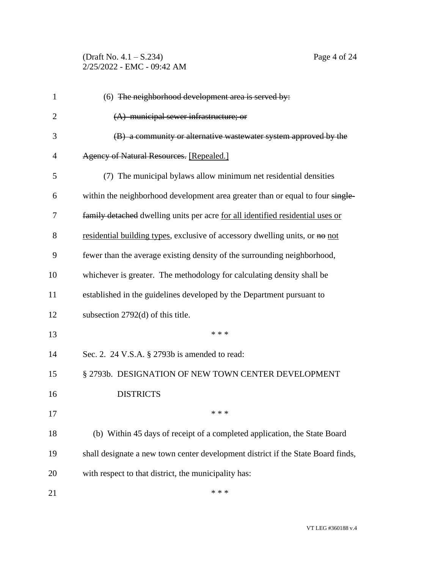(Draft No. 4.1 – S.234) Page 4 of 24 2/25/2022 - EMC - 09:42 AM

| $\mathbf{1}$   | $(6)$ The neighborhood development area is served by:                            |
|----------------|----------------------------------------------------------------------------------|
| $\overline{2}$ | $(A)$ municipal sewer infrastructure; or                                         |
| 3              | (B) a community or alternative wastewater system approved by the                 |
| 4              | Agency of Natural Resources. [Repealed.]                                         |
| 5              | (7) The municipal bylaws allow minimum net residential densities                 |
| 6              | within the neighborhood development area greater than or equal to four single-   |
| 7              | family detached dwelling units per acre for all identified residential uses or   |
| 8              | residential building types, exclusive of accessory dwelling units, or no not     |
| 9              | fewer than the average existing density of the surrounding neighborhood,         |
| 10             | whichever is greater. The methodology for calculating density shall be           |
| 11             | established in the guidelines developed by the Department pursuant to            |
| 12             | subsection 2792(d) of this title.                                                |
| 13             | * * *                                                                            |
| 14             | Sec. 2. 24 V.S.A. § 2793b is amended to read:                                    |
| 15             | § 2793b. DESIGNATION OF NEW TOWN CENTER DEVELOPMENT                              |
| 16             | <b>DISTRICTS</b>                                                                 |
| 17             | * * *                                                                            |
| 18             | (b) Within 45 days of receipt of a completed application, the State Board        |
| 19             | shall designate a new town center development district if the State Board finds, |
| 20             | with respect to that district, the municipality has:                             |
| 21             | * * *                                                                            |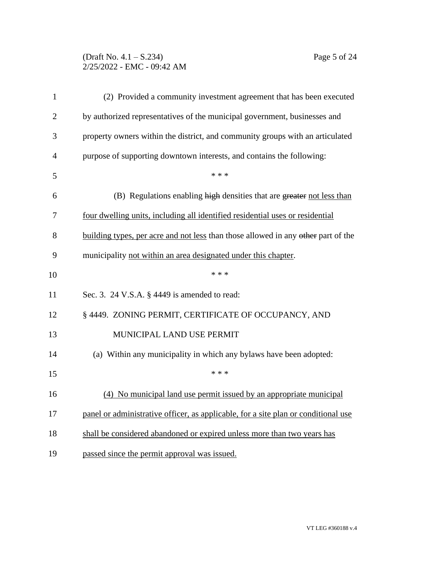## (Draft No. 4.1 – S.234) Page 5 of 24 2/25/2022 - EMC - 09:42 AM

| $\mathbf{1}$   | (2) Provided a community investment agreement that has been executed               |
|----------------|------------------------------------------------------------------------------------|
| $\overline{2}$ | by authorized representatives of the municipal government, businesses and          |
| 3              | property owners within the district, and community groups with an articulated      |
| 4              | purpose of supporting downtown interests, and contains the following:              |
| 5              | * * *                                                                              |
| 6              | (B) Regulations enabling high densities that are greater not less than             |
| 7              | four dwelling units, including all identified residential uses or residential      |
| 8              | building types, per acre and not less than those allowed in any other part of the  |
| 9              | municipality not within an area designated under this chapter.                     |
| 10             | * * *                                                                              |
| 11             | Sec. 3. 24 V.S.A. § 4449 is amended to read:                                       |
| 12             | § 4449. ZONING PERMIT, CERTIFICATE OF OCCUPANCY, AND                               |
| 13             | MUNICIPAL LAND USE PERMIT                                                          |
| 14             | (a) Within any municipality in which any bylaws have been adopted:                 |
| 15             | * * *                                                                              |
| 16             | (4) No municipal land use permit issued by an appropriate municipal                |
| 17             | panel or administrative officer, as applicable, for a site plan or conditional use |
| 18             | shall be considered abandoned or expired unless more than two years has            |
| 19             | passed since the permit approval was issued.                                       |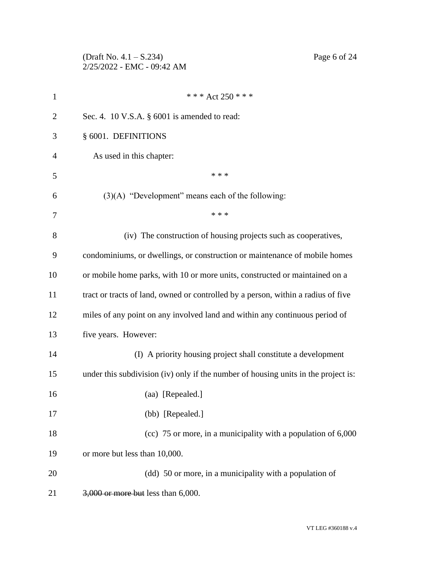(Draft No. 4.1 – S.234) Page 6 of 24 2/25/2022 - EMC - 09:42 AM

| $\mathbf{1}$   | *** Act 250 ***                                                                    |
|----------------|------------------------------------------------------------------------------------|
| $\overline{2}$ | Sec. 4. 10 V.S.A. § 6001 is amended to read:                                       |
| 3              | § 6001. DEFINITIONS                                                                |
| $\overline{4}$ | As used in this chapter:                                                           |
| 5              | * * *                                                                              |
| 6              | $(3)(A)$ "Development" means each of the following:                                |
| 7              | * * *                                                                              |
| 8              | (iv) The construction of housing projects such as cooperatives,                    |
| 9              | condominiums, or dwellings, or construction or maintenance of mobile homes         |
| 10             | or mobile home parks, with 10 or more units, constructed or maintained on a        |
| 11             | tract or tracts of land, owned or controlled by a person, within a radius of five  |
| 12             | miles of any point on any involved land and within any continuous period of        |
| 13             | five years. However:                                                               |
| 14             | (I) A priority housing project shall constitute a development                      |
| 15             | under this subdivision (iv) only if the number of housing units in the project is: |
| 16             | (aa) [Repealed.]                                                                   |
| 17             | (bb) [Repealed.]                                                                   |
| 18             | (cc) 75 or more, in a municipality with a population of 6,000                      |
| 19             | or more but less than 10,000.                                                      |
| 20             | (dd) 50 or more, in a municipality with a population of                            |
| 21             | 3,000 or more but less than 6,000.                                                 |
|                |                                                                                    |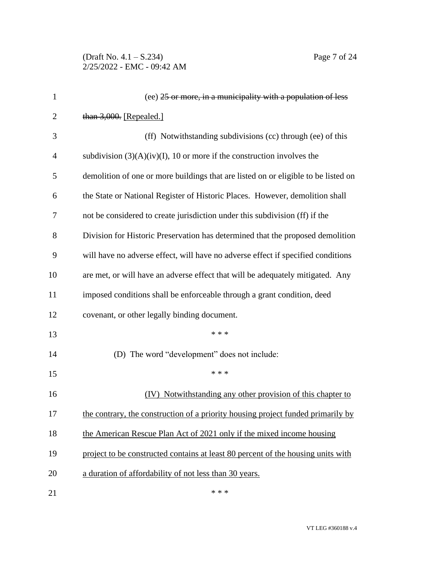(Draft No. 4.1 – S.234) Page 7 of 24 2/25/2022 - EMC - 09:42 AM

| $\mathbf{1}$   | (ee) 25 or more, in a municipality with a population of less                       |
|----------------|------------------------------------------------------------------------------------|
| $\overline{2}$ | than 3,000. [Repealed.]                                                            |
| 3              | (ff) Notwithstanding subdivisions (cc) through (ee) of this                        |
| $\overline{4}$ | subdivision $(3)(A)(iv)(I)$ , 10 or more if the construction involves the          |
| 5              | demolition of one or more buildings that are listed on or eligible to be listed on |
| 6              | the State or National Register of Historic Places. However, demolition shall       |
| 7              | not be considered to create jurisdiction under this subdivision (ff) if the        |
| 8              | Division for Historic Preservation has determined that the proposed demolition     |
| 9              | will have no adverse effect, will have no adverse effect if specified conditions   |
| 10             | are met, or will have an adverse effect that will be adequately mitigated. Any     |
| 11             | imposed conditions shall be enforceable through a grant condition, deed            |
| 12             | covenant, or other legally binding document.                                       |
| 13             | * * *                                                                              |
| 14             | (D) The word "development" does not include:                                       |
| 15             | * * *                                                                              |
| 16             | (IV) Notwithstanding any other provision of this chapter to                        |
| 17             | the contrary, the construction of a priority housing project funded primarily by   |
| 18             | the American Rescue Plan Act of 2021 only if the mixed income housing              |
| 19             | project to be constructed contains at least 80 percent of the housing units with   |
| 20             | a duration of affordability of not less than 30 years.                             |
| 21             | * * *                                                                              |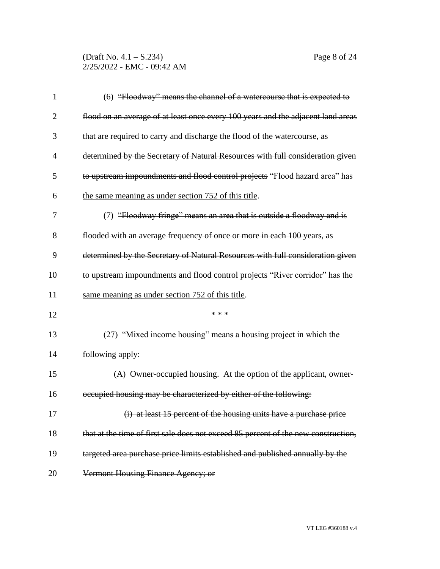(Draft No. 4.1 – S.234) Page 8 of 24 2/25/2022 - EMC - 09:42 AM

| $\mathbf{1}$   | (6) "Floodway" means the channel of a watercourse that is expected to              |
|----------------|------------------------------------------------------------------------------------|
| $\overline{2}$ | flood on an average of at least once every 100 years and the adjacent land areas   |
| 3              | that are required to carry and discharge the flood of the watercourse, as          |
| 4              | determined by the Secretary of Natural Resources with full consideration given     |
| 5              | to upstream impoundments and flood control projects "Flood hazard area" has        |
| 6              | the same meaning as under section 752 of this title.                               |
| 7              | (7) "Floodway fringe" means an area that is outside a floodway and is              |
| 8              | flooded with an average frequency of once or more in each 100 years, as            |
| 9              | determined by the Secretary of Natural Resources with full consideration given     |
| 10             | to upstream impoundments and flood control projects "River corridor" has the       |
| 11             | same meaning as under section 752 of this title.                                   |
| 12             | * * *                                                                              |
| 13             | (27) "Mixed income housing" means a housing project in which the                   |
| 14             | following apply:                                                                   |
| 15             | (A) Owner-occupied housing. At the option of the applicant, owner-                 |
| 16             | occupied housing may be characterized by either of the following:                  |
| 17             | (i) at least 15 percent of the housing units have a purchase price                 |
| 18             | that at the time of first sale does not exceed 85 percent of the new construction, |
| 19             | targeted area purchase price limits established and published annually by the      |
| 20             | Vermont Housing Finance Agency; or                                                 |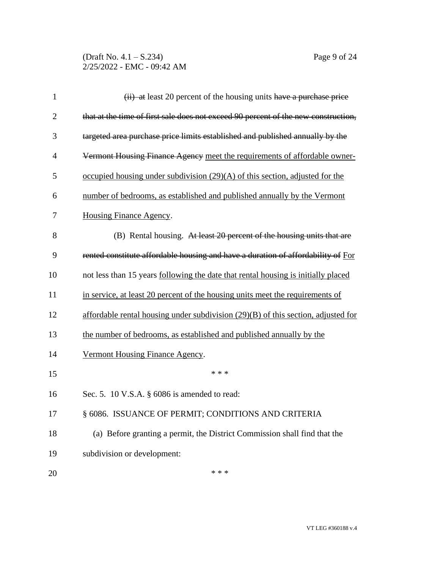(Draft No. 4.1 – S.234) Page 9 of 24 2/25/2022 - EMC - 09:42 AM

| $\mathbf{1}$   | (ii) at least 20 percent of the housing units have a purchase price                 |
|----------------|-------------------------------------------------------------------------------------|
| $\overline{2}$ | that at the time of first sale does not exceed 90 percent of the new construction,  |
| 3              | targeted area purchase price limits established and published annually by the       |
| 4              | Vermont Housing Finance Agency meet the requirements of affordable owner-           |
| 5              | occupied housing under subdivision $(29)(A)$ of this section, adjusted for the      |
| 6              | number of bedrooms, as established and published annually by the Vermont            |
| 7              | <b>Housing Finance Agency.</b>                                                      |
| 8              | (B) Rental housing. At least 20 percent of the housing units that are               |
| 9              | rented constitute affordable housing and have a duration of affordability of For    |
| 10             | not less than 15 years following the date that rental housing is initially placed   |
| 11             | in service, at least 20 percent of the housing units meet the requirements of       |
| 12             | affordable rental housing under subdivision $(29)(B)$ of this section, adjusted for |
| 13             | the number of bedrooms, as established and published annually by the                |
| 14             | Vermont Housing Finance Agency.                                                     |
| 15             | * * *                                                                               |
| 16             | Sec. 5. 10 V.S.A. § 6086 is amended to read:                                        |
| 17             | § 6086. ISSUANCE OF PERMIT; CONDITIONS AND CRITERIA                                 |
| 18             | (a) Before granting a permit, the District Commission shall find that the           |
| 19             | subdivision or development:                                                         |
| 20             | * * *                                                                               |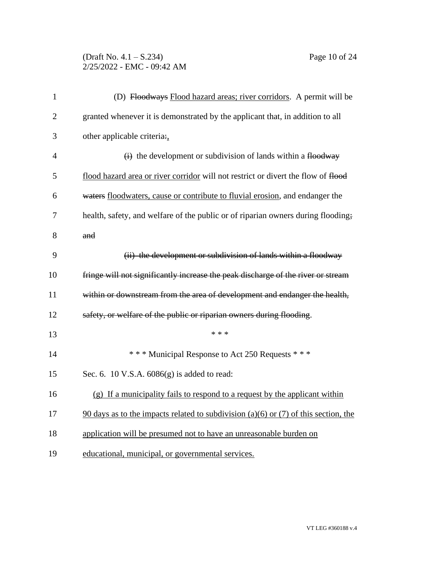## (Draft No. 4.1 – S.234) Page 10 of 24 2/25/2022 - EMC - 09:42 AM

| $\mathbf{1}$   | (D) Floodways Flood hazard areas; river corridors. A permit will be                   |
|----------------|---------------------------------------------------------------------------------------|
| $\overline{2}$ | granted whenever it is demonstrated by the applicant that, in addition to all         |
| 3              | other applicable criteria:,                                                           |
| 4              | $\overrightarrow{H}$ the development or subdivision of lands within a flood way       |
| 5              | flood hazard area or river corridor will not restrict or divert the flow of flood     |
| 6              | waters floodwaters, cause or contribute to fluvial erosion, and endanger the          |
| 7              | health, safety, and welfare of the public or of riparian owners during flooding;      |
| 8              | and                                                                                   |
| 9              | (ii) the development or subdivision of lands within a floodway                        |
| 10             | fringe will not significantly increase the peak discharge of the river or stream      |
| 11             | within or downstream from the area of development and endanger the health,            |
| 12             | safety, or welfare of the public or riparian owners during flooding.                  |
| 13             | * * *                                                                                 |
| 14             | *** Municipal Response to Act 250 Requests ***                                        |
| 15             | Sec. 6. 10 V.S.A. 6086(g) is added to read:                                           |
| 16             | (g) If a municipality fails to respond to a request by the applicant within           |
| 17             | $90$ days as to the impacts related to subdivision (a)(6) or (7) of this section, the |
| 18             | application will be presumed not to have an unreasonable burden on                    |
| 19             | educational, municipal, or governmental services.                                     |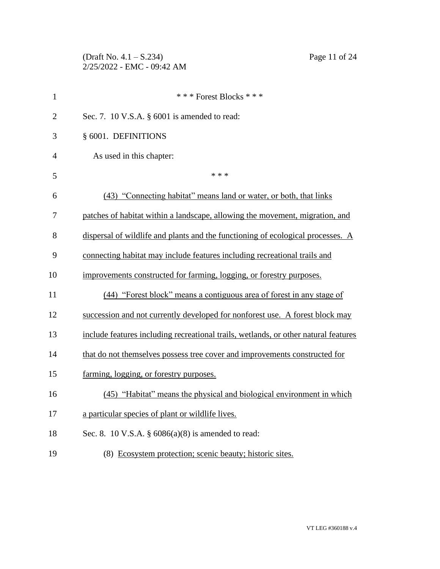(Draft No. 4.1 – S.234) Page 11 of 24 2/25/2022 - EMC - 09:42 AM

| $\mathbf{1}$   | *** Forest Blocks ***                                                               |
|----------------|-------------------------------------------------------------------------------------|
| $\overline{2}$ | Sec. 7. 10 V.S.A. § 6001 is amended to read:                                        |
| 3              | § 6001. DEFINITIONS                                                                 |
| $\overline{4}$ | As used in this chapter:                                                            |
| 5              | * * *                                                                               |
| 6              | (43) "Connecting habitat" means land or water, or both, that links                  |
| 7              | patches of habitat within a landscape, allowing the movement, migration, and        |
| 8              | dispersal of wildlife and plants and the functioning of ecological processes. A     |
| 9              | connecting habitat may include features including recreational trails and           |
| 10             | improvements constructed for farming, logging, or forestry purposes.                |
| 11             | (44) "Forest block" means a contiguous area of forest in any stage of               |
| 12             | succession and not currently developed for nonforest use. A forest block may        |
| 13             | include features including recreational trails, wetlands, or other natural features |
| 14             | that do not themselves possess tree cover and improvements constructed for          |
| 15             | farming, logging, or forestry purposes.                                             |
| 16             | (45) "Habitat" means the physical and biological environment in which               |
| 17             | a particular species of plant or wildlife lives.                                    |
| 18             | Sec. 8. 10 V.S.A. $\S$ 6086(a)(8) is amended to read:                               |
| 19             | (8) Ecosystem protection; scenic beauty; historic sites.                            |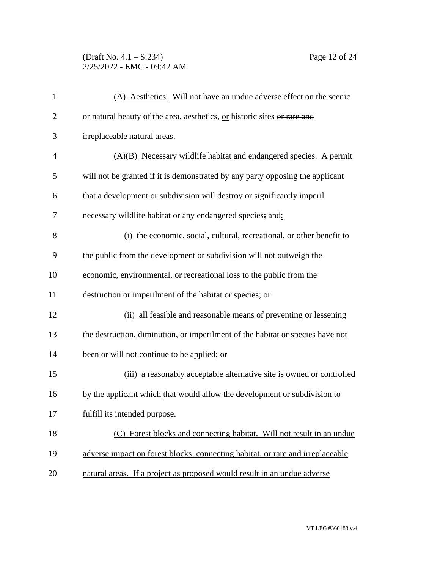## (Draft No. 4.1 – S.234) Page 12 of 24 2/25/2022 - EMC - 09:42 AM

| $\mathbf{1}$   | (A) Aesthetics. Will not have an undue adverse effect on the scenic            |
|----------------|--------------------------------------------------------------------------------|
| $\overline{2}$ | or natural beauty of the area, aesthetics, or historic sites or rare and       |
| 3              | irreplaceable natural areas.                                                   |
| $\overline{4}$ | $(A)(B)$ Necessary wildlife habitat and endangered species. A permit           |
| 5              | will not be granted if it is demonstrated by any party opposing the applicant  |
| 6              | that a development or subdivision will destroy or significantly imperil        |
| $\tau$         | necessary wildlife habitat or any endangered species; and:                     |
| 8              | (i) the economic, social, cultural, recreational, or other benefit to          |
| 9              | the public from the development or subdivision will not outweigh the           |
| 10             | economic, environmental, or recreational loss to the public from the           |
| 11             | destruction or imperilment of the habitat or species; or                       |
| 12             | (ii) all feasible and reasonable means of preventing or lessening              |
| 13             | the destruction, diminution, or imperilment of the habitat or species have not |
| 14             | been or will not continue to be applied; or                                    |
| 15             | (iii) a reasonably acceptable alternative site is owned or controlled          |
| 16             | by the applicant which that would allow the development or subdivision to      |
| 17             | fulfill its intended purpose.                                                  |
| 18             | Forest blocks and connecting habitat. Will not result in an undue<br>(C)       |
| 19             | adverse impact on forest blocks, connecting habitat, or rare and irreplaceable |
| 20             | natural areas. If a project as proposed would result in an undue adverse       |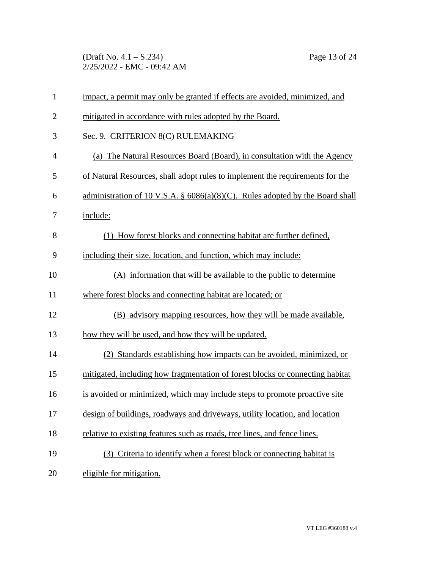(Draft No. 4.1 – S.234) Page 13 of 24 2/25/2022 - EMC - 09:42 AM

| $\mathbf{1}$   | impact, a permit may only be granted if effects are avoided, minimized, and      |
|----------------|----------------------------------------------------------------------------------|
| $\overline{c}$ | mitigated in accordance with rules adopted by the Board.                         |
| 3              | Sec. 9. CRITERION 8(C) RULEMAKING                                                |
| $\overline{4}$ | (a) The Natural Resources Board (Board), in consultation with the Agency         |
| 5              | of Natural Resources, shall adopt rules to implement the requirements for the    |
| 6              | administration of 10 V.S.A. $\S$ 6086(a)(8)(C). Rules adopted by the Board shall |
| 7              | include:                                                                         |
| 8              | (1) How forest blocks and connecting habitat are further defined,                |
| 9              | including their size, location, and function, which may include:                 |
| 10             | (A) information that will be available to the public to determine                |
| 11             | where forest blocks and connecting habitat are located; or                       |
| 12             | (B) advisory mapping resources, how they will be made available,                 |
| 13             | how they will be used, and how they will be updated.                             |
| 14             | (2) Standards establishing how impacts can be avoided, minimized, or             |
| 15             | mitigated, including how fragmentation of forest blocks or connecting habitat    |
| 16             | is avoided or minimized, which may include steps to promote proactive site       |
| 17             | design of buildings, roadways and driveways, utility location, and location      |
| 18             | relative to existing features such as roads, tree lines, and fence lines.        |
| 19             | (3) Criteria to identify when a forest block or connecting habitat is            |
| 20             | eligible for mitigation.                                                         |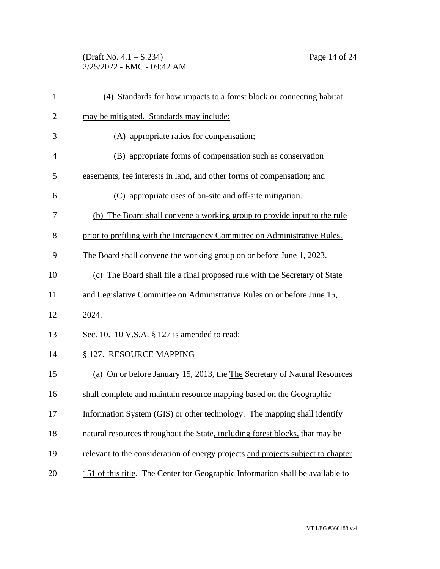(Draft No. 4.1 – S.234) Page 14 of 24 2/25/2022 - EMC - 09:42 AM

| $\mathbf{1}$   | (4) Standards for how impacts to a forest block or connecting habitat            |
|----------------|----------------------------------------------------------------------------------|
| $\overline{2}$ | may be mitigated. Standards may include:                                         |
| 3              | (A) appropriate ratios for compensation;                                         |
| 4              | (B) appropriate forms of compensation such as conservation                       |
| 5              | easements, fee interests in land, and other forms of compensation; and           |
| 6              | (C) appropriate uses of on-site and off-site mitigation.                         |
| 7              | (b) The Board shall convene a working group to provide input to the rule         |
| 8              | prior to prefiling with the Interagency Committee on Administrative Rules.       |
| 9              | The Board shall convene the working group on or before June 1, 2023.             |
| 10             | (c) The Board shall file a final proposed rule with the Secretary of State       |
| 11             | and Legislative Committee on Administrative Rules on or before June 15,          |
| 12             | 2024.                                                                            |
| 13             | Sec. 10. 10 V.S.A. § 127 is amended to read:                                     |
| 14             | § 127. RESOURCE MAPPING                                                          |
| 15             | (a) On or before January 15, 2013, the The Secretary of Natural Resources        |
| 16             | shall complete and maintain resource mapping based on the Geographic             |
| 17             | Information System (GIS) or other technology. The mapping shall identify         |
| 18             | natural resources throughout the State, including forest blocks, that may be     |
| 19             | relevant to the consideration of energy projects and projects subject to chapter |
| 20             | 151 of this title. The Center for Geographic Information shall be available to   |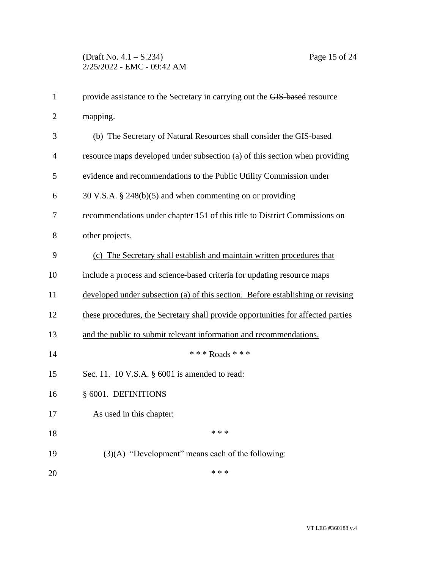| $\mathbf{1}$   | provide assistance to the Secretary in carrying out the GIS-based resource       |
|----------------|----------------------------------------------------------------------------------|
| $\overline{2}$ | mapping.                                                                         |
| 3              | (b) The Secretary of Natural Resources shall consider the GIS-based              |
| $\overline{4}$ | resource maps developed under subsection (a) of this section when providing      |
| 5              | evidence and recommendations to the Public Utility Commission under              |
| 6              | $30 \text{ V.S.A. }$ § 248(b)(5) and when commenting on or providing             |
| 7              | recommendations under chapter 151 of this title to District Commissions on       |
| 8              | other projects.                                                                  |
| 9              | (c) The Secretary shall establish and maintain written procedures that           |
| 10             | include a process and science-based criteria for updating resource maps          |
| 11             | developed under subsection (a) of this section. Before establishing or revising  |
| 12             | these procedures, the Secretary shall provide opportunities for affected parties |
| 13             | and the public to submit relevant information and recommendations.               |
| 14             | * * * Roads * * *                                                                |
| 15             | Sec. 11. 10 V.S.A. § 6001 is amended to read:                                    |
| 16             | § 6001. DEFINITIONS                                                              |
| 17             | As used in this chapter:                                                         |
| 18             | * * *                                                                            |
| 19             | $(3)(A)$ "Development" means each of the following:                              |
| 20             | * * *                                                                            |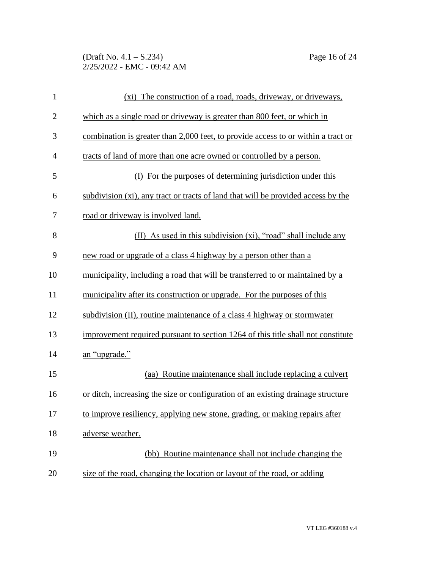(Draft No. 4.1 – S.234) Page 16 of 24 2/25/2022 - EMC - 09:42 AM

| $\mathbf{1}$   | (xi) The construction of a road, roads, driveway, or driveways,                   |
|----------------|-----------------------------------------------------------------------------------|
| $\overline{c}$ | which as a single road or driveway is greater than 800 feet, or which in          |
| 3              | combination is greater than 2,000 feet, to provide access to or within a tract or |
| 4              | tracts of land of more than one acre owned or controlled by a person.             |
| 5              | (I) For the purposes of determining jurisdiction under this                       |
| 6              | subdivision (xi), any tract or tracts of land that will be provided access by the |
| 7              | road or driveway is involved land.                                                |
| 8              | (II) As used in this subdivision (xi), "road" shall include any                   |
| 9              | new road or upgrade of a class 4 highway by a person other than a                 |
| 10             | municipality, including a road that will be transferred to or maintained by a     |
| 11             | municipality after its construction or upgrade. For the purposes of this          |
| 12             | subdivision (II), routine maintenance of a class 4 highway or stormwater          |
| 13             | improvement required pursuant to section 1264 of this title shall not constitute  |
| 14             | an "upgrade."                                                                     |
| 15             | (aa) Routine maintenance shall include replacing a culvert                        |
| 16             | or ditch, increasing the size or configuration of an existing drainage structure  |
| 17             | to improve resiliency, applying new stone, grading, or making repairs after       |
| 18             | adverse weather.                                                                  |
| 19             | (bb) Routine maintenance shall not include changing the                           |
| 20             | size of the road, changing the location or layout of the road, or adding          |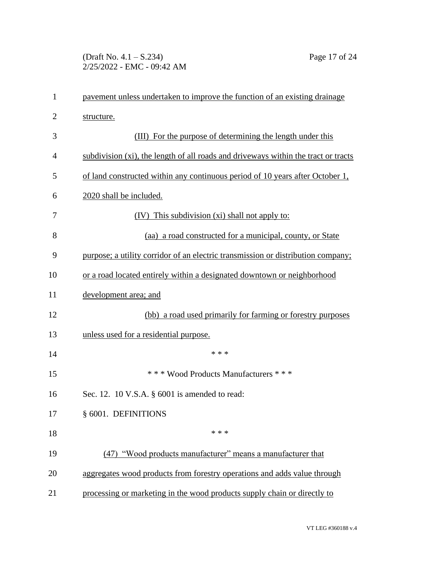(Draft No. 4.1 – S.234) Page 17 of 24 2/25/2022 - EMC - 09:42 AM

| $\mathbf{1}$   | payement unless undertaken to improve the function of an existing drainage         |
|----------------|------------------------------------------------------------------------------------|
| $\overline{2}$ | structure.                                                                         |
| 3              | (III) For the purpose of determining the length under this                         |
| 4              | subdivision (xi), the length of all roads and driveways within the tract or tracts |
| 5              | of land constructed within any continuous period of 10 years after October 1,      |
| 6              | 2020 shall be included.                                                            |
| 7              | (IV) This subdivision (xi) shall not apply to:                                     |
| 8              | (aa) a road constructed for a municipal, county, or State                          |
| 9              | purpose; a utility corridor of an electric transmission or distribution company;   |
| 10             | or a road located entirely within a designated downtown or neighborhood            |
| 11             | development area; and                                                              |
| 12             | (bb) a road used primarily for farming or forestry purposes                        |
| 13             | unless used for a residential purpose.                                             |
| 14             | * * *                                                                              |
| 15             | *** Wood Products Manufacturers ***                                                |
| 16             | Sec. 12. 10 V.S.A. § 6001 is amended to read:                                      |
| 17             | § 6001. DEFINITIONS                                                                |
| 18             | * * *                                                                              |
| 19             | (47) "Wood products manufacturer" means a manufacturer that                        |
| 20             | aggregates wood products from forestry operations and adds value through           |
| 21             | processing or marketing in the wood products supply chain or directly to           |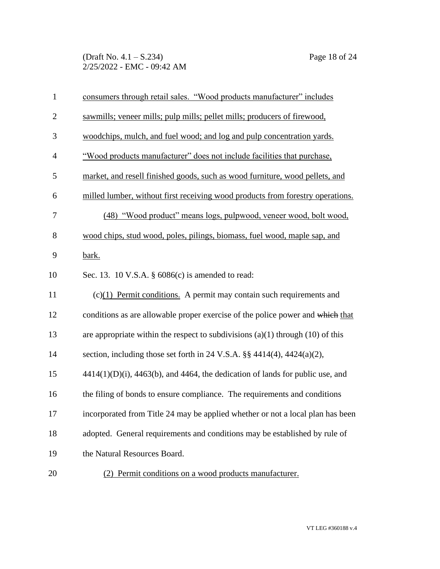(Draft No. 4.1 – S.234) Page 18 of 24 2/25/2022 - EMC - 09:42 AM

| $\mathbf{1}$   | consumers through retail sales. "Wood products manufacturer" includes                  |
|----------------|----------------------------------------------------------------------------------------|
| $\mathbf{2}$   | sawmills; veneer mills; pulp mills; pellet mills; producers of firewood,               |
| 3              | woodchips, mulch, and fuel wood; and log and pulp concentration yards.                 |
| $\overline{4}$ | "Wood products manufacturer" does not include facilities that purchase,                |
| 5              | market, and resell finished goods, such as wood furniture, wood pellets, and           |
| 6              | milled lumber, without first receiving wood products from forestry operations.         |
| 7              | (48) "Wood product" means logs, pulpwood, veneer wood, bolt wood,                      |
| 8              | wood chips, stud wood, poles, pilings, biomass, fuel wood, maple sap, and              |
| 9              | bark.                                                                                  |
| 10             | Sec. 13. 10 V.S.A. § 6086(c) is amended to read:                                       |
| 11             | $(c)(1)$ Permit conditions. A permit may contain such requirements and                 |
| 12             | conditions as are allowable proper exercise of the police power and which that         |
| 13             | are appropriate within the respect to subdivisions $(a)(1)$ through $(10)$ of this     |
| 14             | section, including those set forth in 24 V.S.A. $\S$ 4414(4), 4424(a)(2),              |
| 15             | $4414(1)(D)(i)$ , $4463(b)$ , and $4464$ , the dedication of lands for public use, and |
| 16             | the filing of bonds to ensure compliance. The requirements and conditions              |
| 17             | incorporated from Title 24 may be applied whether or not a local plan has been         |
| 18             | adopted. General requirements and conditions may be established by rule of             |
| 19             | the Natural Resources Board.                                                           |
| $20\,$         | (2) Permit conditions on a wood products manufacturer.                                 |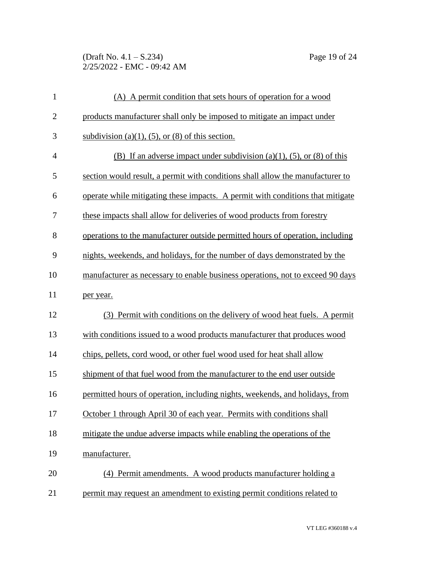(Draft No. 4.1 – S.234) Page 19 of 24 2/25/2022 - EMC - 09:42 AM

| $\mathbf{1}$   | (A) A permit condition that sets hours of operation for a wood                 |
|----------------|--------------------------------------------------------------------------------|
| $\overline{2}$ | products manufacturer shall only be imposed to mitigate an impact under        |
| 3              | subdivision (a)(1), (5), or (8) of this section.                               |
| $\overline{4}$ | (B) If an adverse impact under subdivision (a)(1), (5), or (8) of this         |
| 5              | section would result, a permit with conditions shall allow the manufacturer to |
| 6              | operate while mitigating these impacts. A permit with conditions that mitigate |
| 7              | these impacts shall allow for deliveries of wood products from forestry        |
| 8              | operations to the manufacturer outside permitted hours of operation, including |
| 9              | nights, weekends, and holidays, for the number of days demonstrated by the     |
| 10             | manufacturer as necessary to enable business operations, not to exceed 90 days |
| 11             | per year.                                                                      |
| 12             | (3) Permit with conditions on the delivery of wood heat fuels. A permit        |
| 13             | with conditions issued to a wood products manufacturer that produces wood      |
| 14             | chips, pellets, cord wood, or other fuel wood used for heat shall allow        |
| 15             | shipment of that fuel wood from the manufacturer to the end user outside       |
| 16             | permitted hours of operation, including nights, weekends, and holidays, from   |
| 17             | October 1 through April 30 of each year. Permits with conditions shall         |
| 18             | mitigate the undue adverse impacts while enabling the operations of the        |
| 19             | manufacturer.                                                                  |
| 20             | (4) Permit amendments. A wood products manufacturer holding a                  |
| 21             | permit may request an amendment to existing permit conditions related to       |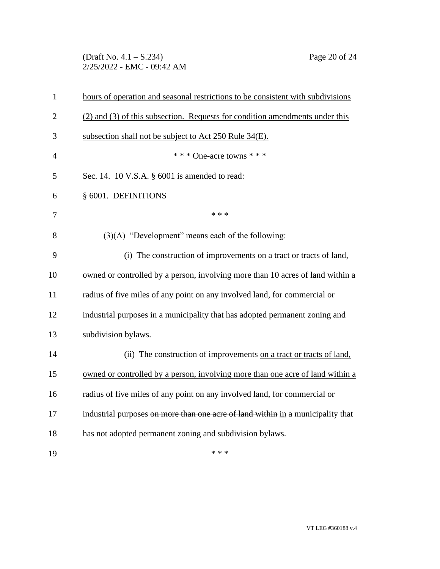(Draft No. 4.1 – S.234) Page 20 of 24 2/25/2022 - EMC - 09:42 AM

| $\mathbf{1}$   | hours of operation and seasonal restrictions to be consistent with subdivisions |
|----------------|---------------------------------------------------------------------------------|
| $\overline{2}$ | (2) and (3) of this subsection. Requests for condition amendments under this    |
| 3              | subsection shall not be subject to Act 250 Rule 34(E).                          |
| $\overline{4}$ | * * * One-acre towns * * *                                                      |
| 5              | Sec. 14. 10 V.S.A. § 6001 is amended to read:                                   |
| 6              | § 6001. DEFINITIONS                                                             |
| 7              | * * *                                                                           |
| 8              | $(3)(A)$ "Development" means each of the following:                             |
| 9              | (i) The construction of improvements on a tract or tracts of land,              |
| 10             | owned or controlled by a person, involving more than 10 acres of land within a  |
| 11             | radius of five miles of any point on any involved land, for commercial or       |
| 12             | industrial purposes in a municipality that has adopted permanent zoning and     |
| 13             | subdivision bylaws.                                                             |
| 14             | (ii) The construction of improvements on a tract or tracts of land,             |
| 15             | owned or controlled by a person, involving more than one acre of land within a  |
| 16             | radius of five miles of any point on any involved land, for commercial or       |
| 17             | industrial purposes on more than one acre of land within in a municipality that |
| 18             | has not adopted permanent zoning and subdivision bylaws.                        |
| 19             | * * *                                                                           |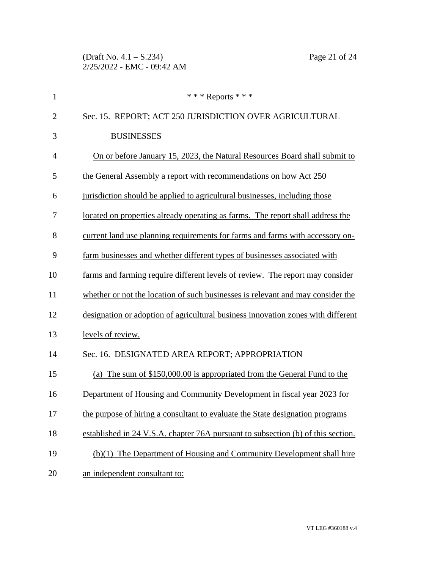(Draft No. 4.1 – S.234) Page 21 of 24 2/25/2022 - EMC - 09:42 AM

| $\mathbf{1}$   | *** Reports ***                                                                  |
|----------------|----------------------------------------------------------------------------------|
| $\overline{2}$ | Sec. 15. REPORT; ACT 250 JURISDICTION OVER AGRICULTURAL                          |
| 3              | <b>BUSINESSES</b>                                                                |
| $\overline{4}$ | On or before January 15, 2023, the Natural Resources Board shall submit to       |
| 5              | the General Assembly a report with recommendations on how Act 250                |
| 6              | jurisdiction should be applied to agricultural businesses, including those       |
| 7              | located on properties already operating as farms. The report shall address the   |
| 8              | current land use planning requirements for farms and farms with accessory on-    |
| 9              | farm businesses and whether different types of businesses associated with        |
| 10             | farms and farming require different levels of review. The report may consider    |
| 11             | whether or not the location of such businesses is relevant and may consider the  |
| 12             | designation or adoption of agricultural business innovation zones with different |
| 13             | levels of review.                                                                |
| 14             | Sec. 16. DESIGNATED AREA REPORT; APPROPRIATION                                   |
| 15             | (a) The sum of \$150,000.00 is appropriated from the General Fund to the         |
| 16             | Department of Housing and Community Development in fiscal year 2023 for          |
| 17             | the purpose of hiring a consultant to evaluate the State designation programs    |
| 18             | established in 24 V.S.A. chapter 76A pursuant to subsection (b) of this section. |
| 19             | (b)(1) The Department of Housing and Community Development shall hire            |
| 20             | an independent consultant to:                                                    |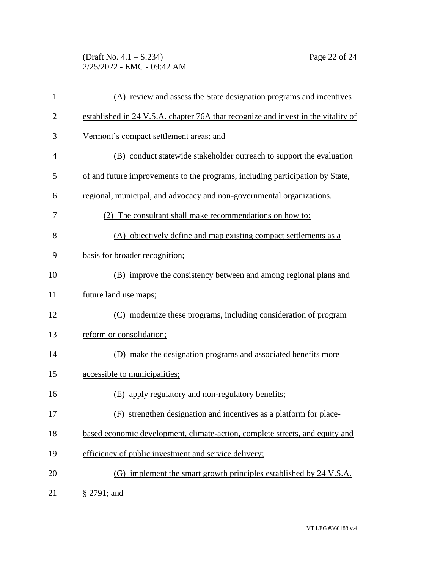(Draft No. 4.1 – S.234) Page 22 of 24 2/25/2022 - EMC - 09:42 AM

| $\mathbf{1}$   | (A) review and assess the State designation programs and incentives               |
|----------------|-----------------------------------------------------------------------------------|
| $\overline{2}$ | established in 24 V.S.A. chapter 76A that recognize and invest in the vitality of |
| 3              | Vermont's compact settlement areas; and                                           |
| 4              | (B) conduct statewide stakeholder outreach to support the evaluation              |
| 5              | of and future improvements to the programs, including participation by State,     |
| 6              | regional, municipal, and advocacy and non-governmental organizations.             |
| 7              | (2) The consultant shall make recommendations on how to:                          |
| 8              | (A) objectively define and map existing compact settlements as a                  |
| 9              | basis for broader recognition;                                                    |
| 10             | (B) improve the consistency between and among regional plans and                  |
| 11             | future land use maps;                                                             |
| 12             | (C) modernize these programs, including consideration of program                  |
| 13             | reform or consolidation;                                                          |
| 14             | (D) make the designation programs and associated benefits more                    |
| 15             | accessible to municipalities;                                                     |
| 16             | (E) apply regulatory and non-regulatory benefits;                                 |
| 17             | (F) strengthen designation and incentives as a platform for place-                |
| 18             | based economic development, climate-action, complete streets, and equity and      |
| 19             | efficiency of public investment and service delivery;                             |
| 20             | (G) implement the smart growth principles established by 24 V.S.A.                |
| 21             | § 2791; and                                                                       |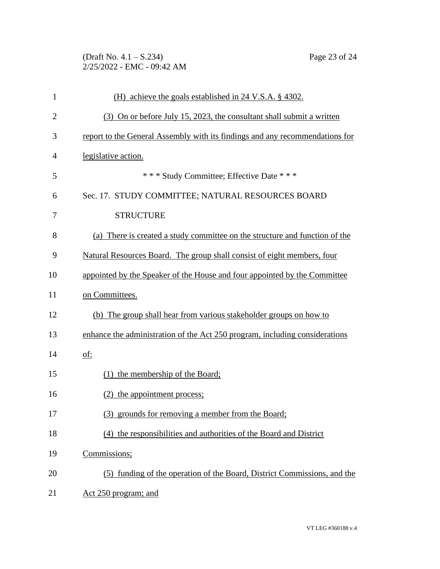(Draft No. 4.1 – S.234) Page 23 of 24 2/25/2022 - EMC - 09:42 AM

| $\mathbf{1}$   | (H) achieve the goals established in 24 V.S.A. § 4302.                       |
|----------------|------------------------------------------------------------------------------|
| $\overline{2}$ | (3) On or before July 15, 2023, the consultant shall submit a written        |
| 3              | report to the General Assembly with its findings and any recommendations for |
| 4              | legislative action.                                                          |
| 5              | *** Study Committee; Effective Date ***                                      |
| 6              | Sec. 17. STUDY COMMITTEE; NATURAL RESOURCES BOARD                            |
| 7              | <b>STRUCTURE</b>                                                             |
| 8              | (a) There is created a study committee on the structure and function of the  |
| 9              | Natural Resources Board. The group shall consist of eight members, four      |
| 10             | appointed by the Speaker of the House and four appointed by the Committee    |
| 11             | on Committees.                                                               |
| 12             | (b) The group shall hear from various stakeholder groups on how to           |
| 13             | enhance the administration of the Act 250 program, including considerations  |
| 14             | <u>of:</u>                                                                   |
| 15             | (1) the membership of the Board;                                             |
| 16             | (2) the appointment process;                                                 |
| 17             | (3) grounds for removing a member from the Board;                            |
| 18             | (4) the responsibilities and authorities of the Board and District           |
| 19             | Commissions;                                                                 |
| 20             | (5) funding of the operation of the Board, District Commissions, and the     |
| 21             | Act 250 program; and                                                         |